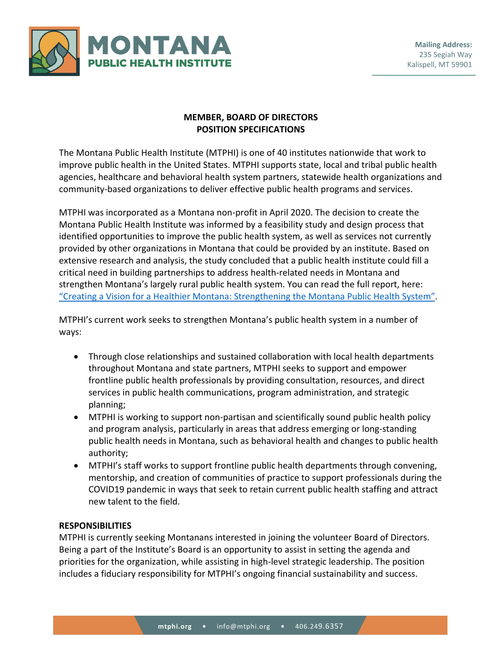

# **MEMBER, BOARD OF DIRECTORS POSITION SPECIFICATIONS**

The Montana Public Health Institute (MTPHI) is one of 40 institutes nationwide that work to improve public health in the United States. MTPHI supports state, local and tribal public health agencies, healthcare and behavioral health system partners, statewide health organizations and community-based organizations to deliver effective public health programs and services.

MTPHI was incorporated as a Montana non-profit in April 2020. The decision to create the Montana Public Health Institute was informed by a feasibility study and design process that identified opportunities to improve the public health system, as well as services not currently provided by other organizations in Montana that could be provided by an institute. Based on extensive research and analysis, the study concluded that a public health institute could fill a critical need in building partnerships to address health-related needs in Montana and strengthen Montana's largely rural public health system. You can read the full report, here: ["Creating a Vision for a Healthier Montana: Strengthening the Montana Public Health System".](http://mtphi.org/wp-content/uploads/2020/12/MT-Public-Health-Report.pdf)

MTPHI's current work seeks to strengthen Montana's public health system in a number of ways:

- Through close relationships and sustained collaboration with local health departments throughout Montana and state partners, MTPHI seeks to support and empower frontline public health professionals by providing consultation, resources, and direct services in public health communications, program administration, and strategic planning;
- MTPHI is working to support non-partisan and scientifically sound public health policy and program analysis, particularly in areas that address emerging or long-standing public health needs in Montana, such as behavioral health and changes to public health authority;
- MTPHI's staff works to support frontline public health departments through convening, mentorship, and creation of communities of practice to support professionals during the COVID19 pandemic in ways that seek to retain current public health staffing and attract new talent to the field.

# **RESPONSIBILITIES**

MTPHI is currently seeking Montanans interested in joining the volunteer Board of Directors. Being a part of the Institute's Board is an opportunity to assist in setting the agenda and priorities for the organization, while assisting in high-level strategic leadership. The position includes a fiduciary responsibility for MTPHI's ongoing financial sustainability and success.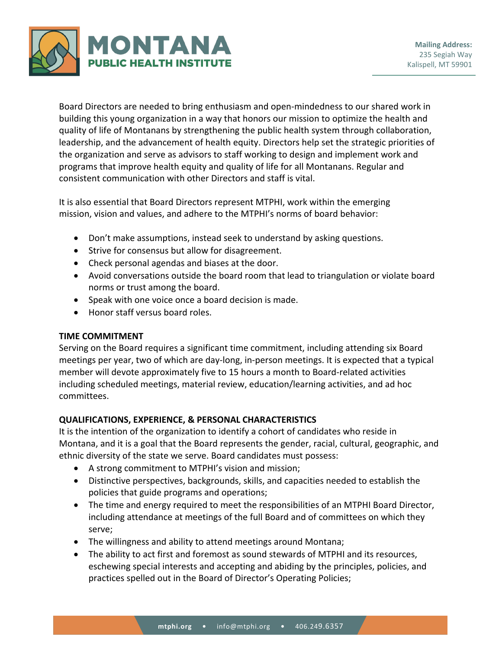

Board Directors are needed to bring enthusiasm and open-mindedness to our shared work in building this young organization in a way that honors our mission to optimize the health and quality of life of Montanans by strengthening the public health system through collaboration, leadership, and the advancement of health equity. Directors help set the strategic priorities of the organization and serve as advisors to staff working to design and implement work and programs that improve health equity and quality of life for all Montanans. Regular and consistent communication with other Directors and staff is vital.

It is also essential that Board Directors represent MTPHI, work within the emerging mission, vision and values, and adhere to the MTPHI's norms of board behavior:

- Don't make assumptions, instead seek to understand by asking questions.
- Strive for consensus but allow for disagreement.
- Check personal agendas and biases at the door.
- Avoid conversations outside the board room that lead to triangulation or violate board norms or trust among the board.
- Speak with one voice once a board decision is made.
- Honor staff versus board roles.

## **TIME COMMITMENT**

Serving on the Board requires a significant time commitment, including attending six Board meetings per year, two of which are day-long, in-person meetings. It is expected that a typical member will devote approximately five to 15 hours a month to Board-related activities including scheduled meetings, material review, education/learning activities, and ad hoc committees.

## **QUALIFICATIONS, EXPERIENCE, & PERSONAL CHARACTERISTICS**

It is the intention of the organization to identify a cohort of candidates who reside in Montana, and it is a goal that the Board represents the gender, racial, cultural, geographic, and ethnic diversity of the state we serve. Board candidates must possess:

- A strong commitment to MTPHI's vision and mission;
- Distinctive perspectives, backgrounds, skills, and capacities needed to establish the policies that guide programs and operations;
- The time and energy required to meet the responsibilities of an MTPHI Board Director, including attendance at meetings of the full Board and of committees on which they serve;
- The willingness and ability to attend meetings around Montana;
- The ability to act first and foremost as sound stewards of MTPHI and its resources, eschewing special interests and accepting and abiding by the principles, policies, and practices spelled out in the Board of Director's Operating Policies;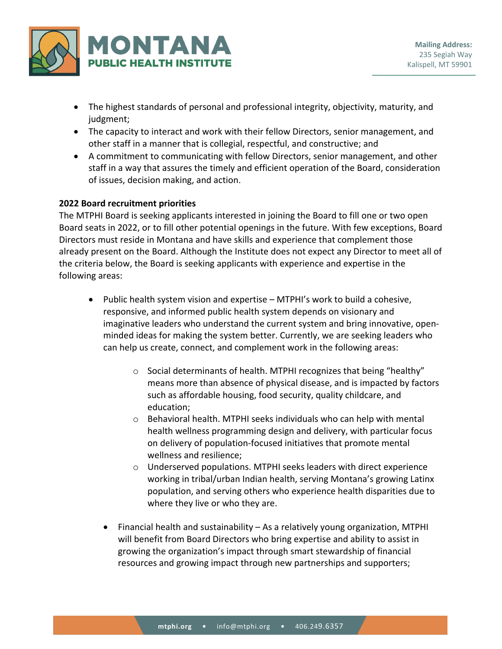

- The highest standards of personal and professional integrity, objectivity, maturity, and judgment;
- The capacity to interact and work with their fellow Directors, senior management, and other staff in a manner that is collegial, respectful, and constructive; and
- A commitment to communicating with fellow Directors, senior management, and other staff in a way that assures the timely and efficient operation of the Board, consideration of issues, decision making, and action.

## **2022 Board recruitment priorities**

The MTPHI Board is seeking applicants interested in joining the Board to fill one or two open Board seats in 2022, or to fill other potential openings in the future. With few exceptions, Board Directors must reside in Montana and have skills and experience that complement those already present on the Board. Although the Institute does not expect any Director to meet all of the criteria below, the Board is seeking applicants with experience and expertise in the following areas:

- Public health system vision and expertise MTPHI's work to build a cohesive, responsive, and informed public health system depends on visionary and imaginative leaders who understand the current system and bring innovative, openminded ideas for making the system better. Currently, we are seeking leaders who can help us create, connect, and complement work in the following areas:
	- o Social determinants of health. MTPHI recognizes that being "healthy" means more than absence of physical disease, and is impacted by factors such as affordable housing, food security, quality childcare, and education;
	- o Behavioral health. MTPHI seeks individuals who can help with mental health wellness programming design and delivery, with particular focus on delivery of population-focused initiatives that promote mental wellness and resilience;
	- o Underserved populations. MTPHI seeks leaders with direct experience working in tribal/urban Indian health, serving Montana's growing Latinx population, and serving others who experience health disparities due to where they live or who they are.
	- Financial health and sustainability As a relatively young organization, MTPHI will benefit from Board Directors who bring expertise and ability to assist in growing the organization's impact through smart stewardship of financial resources and growing impact through new partnerships and supporters;